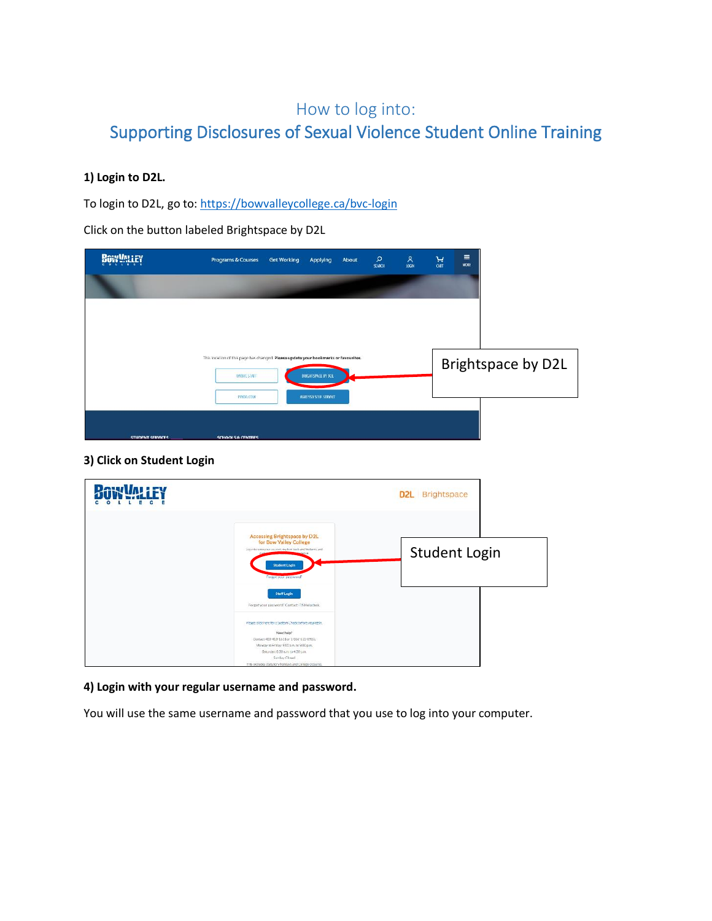# How to log into: Supporting Disclosures of Sexual Violence Student Online Training

### **1) Login to D2L.**

To login to D2L, go to: <https://bowvalleycollege.ca/bvc-login>

Click on the button labeled Brightspace by D2L

| <b>BOW YALLEY</b>       | <b>Programs &amp; Courses</b>                                                                             | <b>Get Working</b> | Applying                  | About | $\mathsf{\Omega}$<br>SEARCH | $rac{8}{100}$ | $\frac{1}{\text{CRT}}$ | $\equiv$<br>MORE |                    |
|-------------------------|-----------------------------------------------------------------------------------------------------------|--------------------|---------------------------|-------|-----------------------------|---------------|------------------------|------------------|--------------------|
|                         |                                                                                                           |                    |                           |       |                             |               |                        |                  |                    |
|                         |                                                                                                           |                    |                           |       |                             |               |                        |                  |                    |
|                         |                                                                                                           |                    |                           |       |                             |               |                        |                  |                    |
|                         | This location of this page has changed. Please update your bookmarks or favourites.<br><b>MYBVC STAFF</b> |                    | <b>BRIGHTSPACE BY D2L</b> |       |                             |               |                        |                  | Brightspace by D2L |
|                         | IYNDA.COM                                                                                                 |                    | AGRESSO SELF SERVICE      |       |                             |               |                        |                  |                    |
|                         |                                                                                                           |                    |                           |       |                             |               |                        |                  |                    |
| <b>STUDENT SERVICES</b> | <b>SCHOOLS &amp; CENTRES</b>                                                                              |                    |                           |       |                             |               |                        |                  |                    |

### **3) Click on Student Login**

|                                                                                                                                                                                                                                                                             | <b>D2L</b> Brightspace |
|-----------------------------------------------------------------------------------------------------------------------------------------------------------------------------------------------------------------------------------------------------------------------------|------------------------|
| Accessing Brightspace by D2L<br>for Bow Valley College<br>Los in to investment counter, explore tools and features, and<br><b>Student Login</b><br>Forwat your password?                                                                                                    | <b>Student Login</b>   |
| <b>Staff Login</b><br>Forgot your password? Contact ITS Helpdesk                                                                                                                                                                                                            |                        |
| Please dilektrere for a System Checkbefore you log in.<br>Need help?<br>Contact 403-413-1611 or 1-866-615-8923.<br>Monday to Friday: 9:00 a.m. to 9:00 p.m.<br>Saturday: 8:30 a.m. to 4:30 p.m.<br>Sunday: Closed<br>This excludes statutory holidays and College closures. |                        |

#### **4) Login with your regular username and password.**

You will use the same username and password that you use to log into your computer.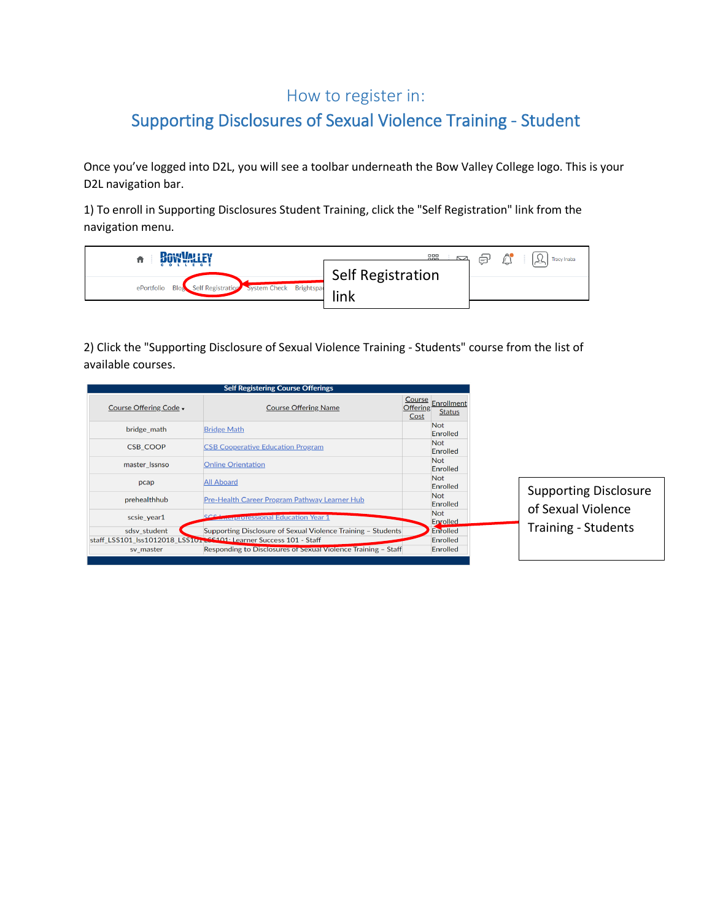## How to register in:

# Supporting Disclosures of Sexual Violence Training - Student

Once you've logged into D2L, you will see a toolbar underneath the Bow Valley College logo. This is your D2L navigation bar.

1) To enroll in Supporting Disclosures Student Training, click the "Self Registration" link from the navigation menu.

| BOW WALEY                                                              | 888                       | ⊜ | $\bigwedge$<br><b>Tracy Inaba</b> |
|------------------------------------------------------------------------|---------------------------|---|-----------------------------------|
| Self Registration System Check Brightspac<br><b>Blos</b><br>ePortfolio | Self Registration<br>link |   |                                   |
|                                                                        |                           |   |                                   |

2) Click the "Supporting Disclosure of Sexual Violence Training - Students" course from the list of available courses.

|                        | <b>Self Registering Course Offerings</b>                          |                         |                                    |                              |
|------------------------|-------------------------------------------------------------------|-------------------------|------------------------------------|------------------------------|
| Course Offering Code - | <b>Course Offering Name</b>                                       | <b>Offering</b><br>Cost | Course Enrollment<br><b>Status</b> |                              |
| bridge math            | <b>Bridge Math</b>                                                |                         | <b>Not</b><br>Enrolled             |                              |
| <b>CSB COOP</b>        | <b>CSB Cooperative Education Program</b>                          |                         | <b>Not</b><br>Enrolled             |                              |
| master Issnso          | <b>Online Orientation</b>                                         |                         | <b>Not</b><br>Enrolled             |                              |
| pcap                   | <b>All Aboard</b>                                                 |                         | <b>Not</b><br>Enrolled             |                              |
| prehealthhub           | Pre-Health Career Program Pathway Learner Hub                     |                         | <b>Not</b><br>Enrolled             | <b>Supporting Disclosure</b> |
| scsie year1            | <b>Anterproressional Education Year 1</b>                         |                         | <b>Not</b><br>Enrolled             | of Sexual Violence           |
| sdsv student           | Supporting Disclosure of Sexual Violence Training - Students      |                         | Enrolled                           | <b>Training - Students</b>   |
|                        | staff_LSS101_lss1012018_LSS101\LSS101\Learner Success 101 - Staff |                         | Enrolled                           |                              |
| sv_master              | Responding to Disclosures of Sexual Violence Training - Staff     |                         | Enrolled                           |                              |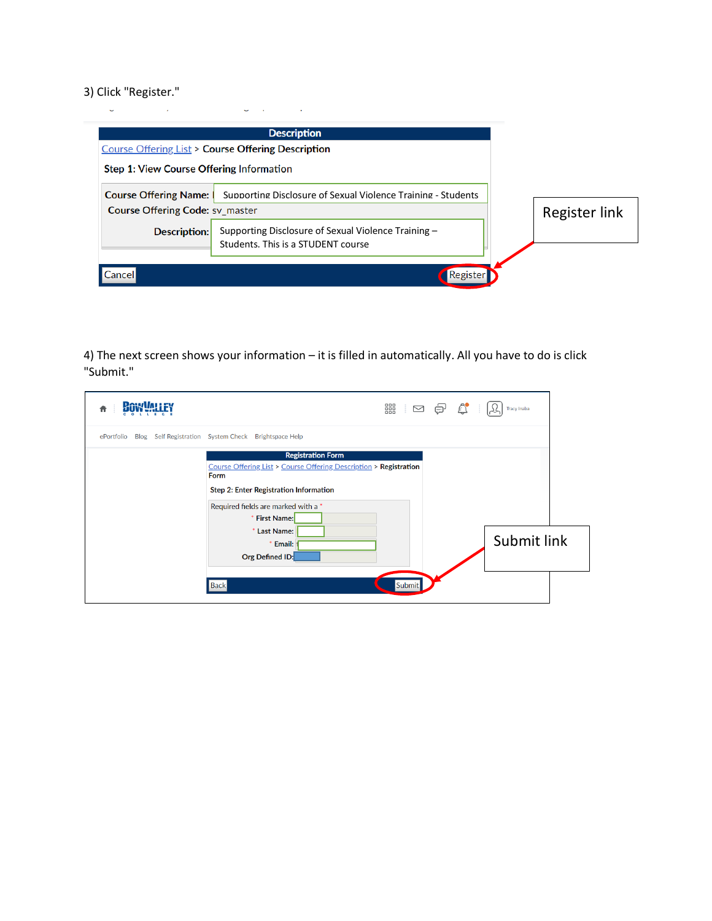### 3) Click "Register."

|                                                              | <b>Description</b>                                                                        |  |                      |  |  |
|--------------------------------------------------------------|-------------------------------------------------------------------------------------------|--|----------------------|--|--|
| <b>Course Offering List &gt; Course Offering Description</b> |                                                                                           |  |                      |  |  |
|                                                              | Step 1: View Course Offering Information                                                  |  |                      |  |  |
| <b>Course Offering Name:</b>                                 | Supporting Disclosure of Sexual Violence Training - Students                              |  |                      |  |  |
| <b>Course Offering Code: SV_master</b>                       |                                                                                           |  | <b>Register link</b> |  |  |
| Description:                                                 | Supporting Disclosure of Sexual Violence Training -<br>Students. This is a STUDENT course |  |                      |  |  |
| Cancell                                                      | Register                                                                                  |  |                      |  |  |

4) The next screen shows your information – it is filled in automatically. All you have to do is click "Submit."

| <b>RAKYVALI FY</b> | $\begin{picture}(45,14) \put(0,0){\line(1,0){155}} \put(15,0){\line(1,0){155}} \put(15,0){\line(1,0){155}} \put(15,0){\line(1,0){155}} \put(15,0){\line(1,0){155}} \put(15,0){\line(1,0){155}} \put(15,0){\line(1,0){155}} \put(15,0){\line(1,0){155}} \put(15,0){\line(1,0){155}} \put(15,0){\line(1,0){155}} \put(15,0){\line(1,0){155}} \$ | Tracy Inaba |
|--------------------|-----------------------------------------------------------------------------------------------------------------------------------------------------------------------------------------------------------------------------------------------------------------------------------------------------------------------------------------------|-------------|
| ePortfolio         | Blog Self Registration System Check Brightspace Help                                                                                                                                                                                                                                                                                          |             |
|                    | <b>Registration Form</b><br>Course Offering List > Course Offering Description > Registration<br><b>Form</b><br>Step 2: Enter Registration Information<br>Required fields are marked with a *<br>* First Name:<br>* Last Name:<br>* Email:<br>Org Defined ID:                                                                                 | Submit link |
|                    | <b>Back</b><br>Submit                                                                                                                                                                                                                                                                                                                         |             |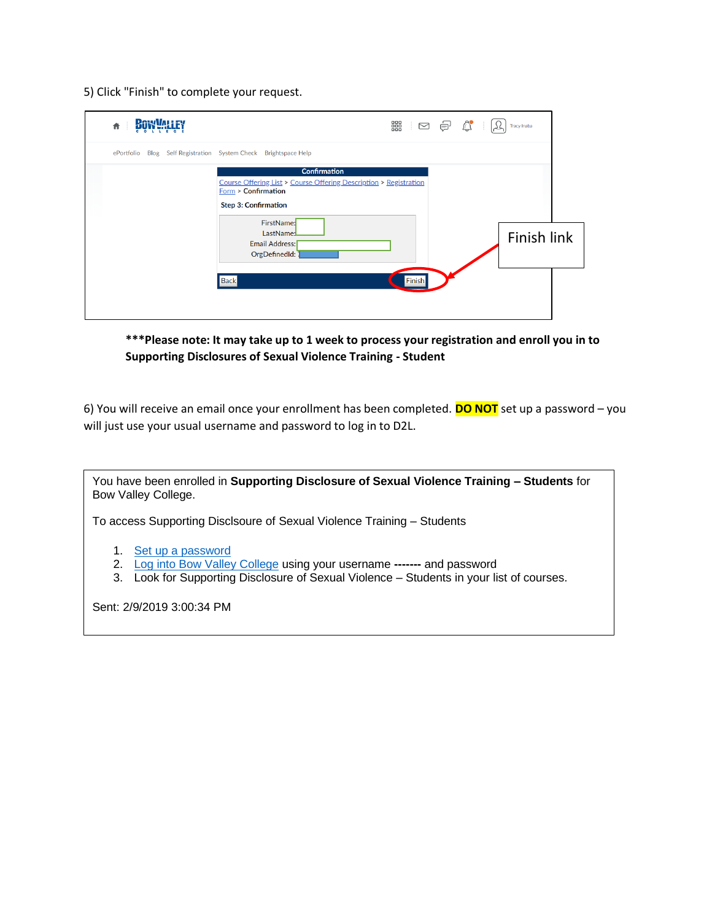5) Click "Finish" to complete your request.

| <b>RAWWEIFY</b><br>青 | 器 □ 日 ☆<br>Tracy Inaba                                                                                                                                                                                                                                          |  |
|----------------------|-----------------------------------------------------------------------------------------------------------------------------------------------------------------------------------------------------------------------------------------------------------------|--|
| ePortfolio           | Blog Self Registration System Check Brightspace Help                                                                                                                                                                                                            |  |
|                      | <b>Confirmation</b><br>Course Offering List > Course Offering Description > Registration<br><b>Form &gt; Confirmation</b><br><b>Step 3: Confirmation</b><br>FirstName:<br>LastName:L<br>Finish link<br>Email Address:<br>OrgDefinedId:<br><b>Back</b><br>Finish |  |

**\*\*\*Please note: It may take up to 1 week to process your registration and enroll you in to Supporting Disclosures of Sexual Violence Training - Student**

6) You will receive an email once your enrollment has been completed. **DO NOT** set up a password – you will just use your usual username and password to log in to D2L.

You have been enrolled in **Supporting Disclosure of Sexual Violence Training – Students** for Bow Valley College.

To access Supporting Disclsoure of Sexual Violence Training – Students

- 1. [Set up a password](https://d2l.bowvalleycollege.ca/d2l/lp/resetPassword/ResetPassword.d2l?token=xSIAAAAAAADEusYjHZgtfcc9aKlBmluDxmvcyw%3D%3D)
- 2. [Log into Bow Valley College](https://secure-web.cisco.com/16hvkthtYBMNsxuRYVwZfh-0z5-zedfLKHgo97h_gHxmXA3d2EPLr9HS1zUuLIUpCT6JH2qOW7IOMWUwMPJxr9lqorwH2KEFd3eKobu-8ztQpMJIk4bpqbQ4oYGFj0Dyz2nI6MgjNasVbnHdr7vypINX5KsxS_pYA_5qi4Q1TE19papVDxEPkr_27vPDTeAVn2qR05DxglFwm7m90jnHEEIqBMea49dHDmqPSd-1hOoTk8pcwJMenMHciSe_YeBmm5Tps25uwKJF9B5V8ALR6OKd7LMMBluVVnd5Mm7571Jh3s6-v29bclvd8seQL-GSpk8Da8LEXCTai66cdvQG0q0fREbgldxoEo9HmyAQ064Y/https%3A%2F%2Fwww.mybvc.ca%2Fd2l%2Fsignout.aspx%3Flogout%3D1) using your username **-------** and password
- 3. Look for Supporting Disclosure of Sexual Violence Students in your list of courses.

Sent: 2/9/2019 3:00:34 PM